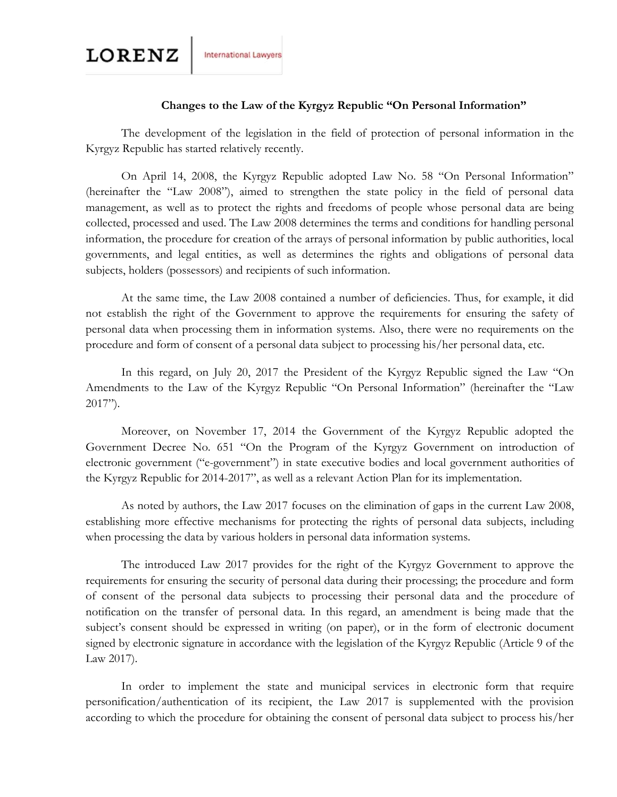## **Changes to the Law of the Kyrgyz Republic "On Personal Information"**

The development of the legislation in the field of protection of personal information in the Kyrgyz Republic has started relatively recently.

On April 14, 2008, the Kyrgyz Republic adopted Law No. 58 "On Personal Information" (hereinafter the "Law 2008"), aimed to strengthen the state policy in the field of personal data management, as well as to protect the rights and freedoms of people whose personal data are being collected, processed and used. The Law 2008 determines the terms and conditions for handling personal information, the procedure for creation of the arrays of personal information by public authorities, local governments, and legal entities, as well as determines the rights and obligations of personal data subjects, holders (possessors) and recipients of such information.

At the same time, the Law 2008 contained a number of deficiencies. Thus, for example, it did not establish the right of the Government to approve the requirements for ensuring the safety of personal data when processing them in information systems. Also, there were no requirements on the procedure and form of consent of a personal data subject to processing his/her personal data, etc.

In this regard, on July 20, 2017 the President of the Kyrgyz Republic signed the Law "On Amendments to the Law of the Kyrgyz Republic "On Personal Information" (hereinafter the "Law 2017").

Moreover, on November 17, 2014 the Government of the Kyrgyz Republic adopted the Government Decree No. 651 "On the Program of the Kyrgyz Government on introduction of electronic government ("e-government") in state executive bodies and local government authorities of the Kyrgyz Republic for 2014-2017", as well as a relevant Action Plan for its implementation.

As noted by authors, the Law 2017 focuses on the elimination of gaps in the current Law 2008, establishing more effective mechanisms for protecting the rights of personal data subjects, including when processing the data by various holders in personal data information systems.

The introduced Law 2017 provides for the right of the Kyrgyz Government to approve the requirements for ensuring the security of personal data during their processing; the procedure and form of consent of the personal data subjects to processing their personal data and the procedure of notification on the transfer of personal data. In this regard, an amendment is being made that the subject's consent should be expressed in writing (on paper), or in the form of electronic document signed by electronic signature in accordance with the legislation of the Kyrgyz Republic (Article 9 of the Law 2017).

In order to implement the state and municipal services in electronic form that require personification/authentication of its recipient, the Law 2017 is supplemented with the provision according to which the procedure for obtaining the consent of personal data subject to process his/her